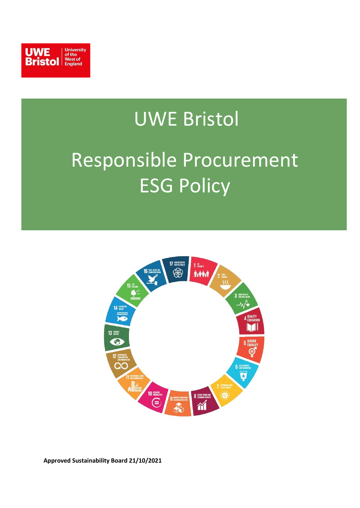

## UWE Bristol

# Responsible Procurement ESG Policy

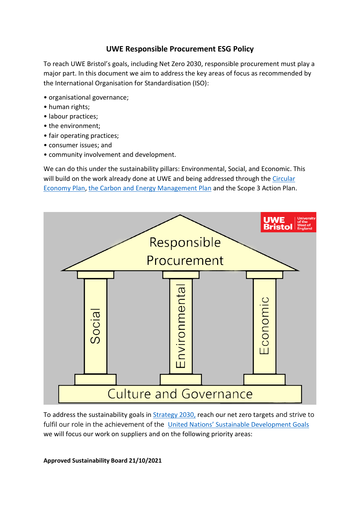### **UWE Responsible Procurement ESG Policy**

To reach UWE Bristol's goals, including Net Zero 2030, responsible procurement must play a major part. In this document we aim to address the key areas of focus as recommended by the International Organisation for Standardisation (ISO):

- organisational governance;
- human rights;
- labour practices;
- the environment;
- fair operating practices;
- consumer issues; and
- community involvement and development.

We can do this under the sustainability pillars: Environmental, Social, and Economic. This will build on the work already done at UWE and being addressed through the Circular [Economy Plan,](https://www.uwe.ac.uk/-/media/uwe/documents/about/sustainability/circular_economy_plan_2020-30.pdf) [the Carbon and Energy Management Plan](https://www.uwe.ac.uk/-/media/uwe/documents/about/sustainability/carbon-management-plan-2030-final.pdf) and the Scope 3 Action Plan.



To address the sustainability goals in [Strategy 2030,](https://www.uwe.ac.uk/-/media/uwe/documents/about/sustainability/climate_action_and_sustainability_strategy_2020-2030.pdf) reach our net zero targets and strive to fulfil our role in the achievement of the [United Nations' Sustainable Development Goals](https://www.uwe.ac.uk/-/media/uwe/documents/about/sustainability/uwe-curriculum-un-sustainable-development-goals.pdf) we will focus our work on suppliers and on the following priority areas: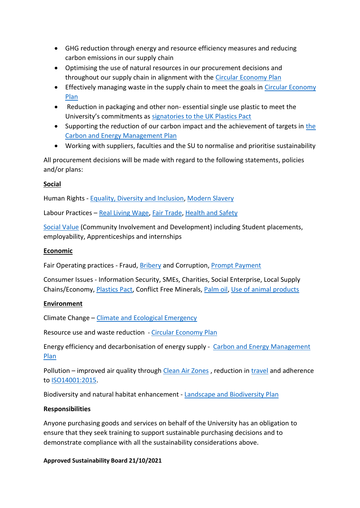- GHG reduction through energy and resource efficiency measures and reducing carbon emissions in our supply chain
- Optimising the use of natural resources in our procurement decisions and throughout our supply chain in alignment with the [Circular Economy Plan](https://www.uwe.ac.uk/-/media/uwe/documents/about/sustainability/circular_economy_plan_2020-30.pdf)
- Effectively managing waste in the supply chain to meet the goals in [Circular Economy](https://www.uwe.ac.uk/-/media/uwe/documents/about/sustainability/circular_economy_plan_2020-30.pdf)  [Plan](https://www.uwe.ac.uk/-/media/uwe/documents/about/sustainability/circular_economy_plan_2020-30.pdf)
- Reduction in packaging and other non- essential single use plastic to meet the University's commitments as [signatories to the UK Plastics Pact](https://www.uwe.ac.uk/-/media/uwe/documents/about/sustainability/plastics-statement.pdf)
- Supporting the reduction of our carbon impact and the achievement of targets in [the](https://www.uwe.ac.uk/-/media/uwe/documents/about/sustainability/carbon-management-plan-2030-final.pdf)  [Carbon and Energy Management Plan](https://www.uwe.ac.uk/-/media/uwe/documents/about/sustainability/carbon-management-plan-2030-final.pdf)
- Working with suppliers, faculties and the SU to normalise and prioritise sustainability

All procurement decisions will be made with regard to the following statements, policies and/or plans:

#### **Social**

Human Rights - [Equality, Diversity and Inclusion,](https://www.uwe.ac.uk/-/media/uwe/documents/about/inclusivity/equality-and-diversity-policy.pdf) [Modern Slavery](https://www.uwe.ac.uk/-/media/uwe/documents/about/policies/modern-slavery-human-trafficking.pdf)

Labour Practices - [Real Living Wage,](https://www.livingwage.org.uk/) [Fair Trade,](https://www.uwe.ac.uk/-/media/uwe/documents/about/sustainability/fairtrade_policy_2021.pdf) [Health and Safety](https://www.uwe.ac.uk/-/media/uwe/documents/about/policies/health_and_safety_management_system.pdf)

[Social Value](https://socialvalueportal.com/what-is-social-value/) (Community Involvement and Development) including Student placements, employability, Apprenticeships and internships

#### **Economic**

Fair Operating practices - Fraud, [Bribery](https://www.uwe.ac.uk/-/media/uwe/documents/about/policies/anti-bribery-policy.pdf) and Corruption, [Prompt Payment](https://www.gov.uk/guidance/prompt-payment-policy)

Consumer Issues - Information Security, SMEs, Charities, Social Enterprise, Local Supply Chains/Economy, [Plastics Pact,](https://www.uwe.ac.uk/-/media/uwe/documents/about/sustainability/plastics-statement.pdf) Conflict Free Minerals, [Palm oil,](https://www.uwe.ac.uk/-/media/uwe/documents/about/sustainability/palm-oil-statement.pdf) [Use of animal products](https://www.uwe.ac.uk/-/media/uwe/documents/about/sustainability/statement_use_of_skins_hair_feathers.pdf)

#### **Environment**

Climate Change – [Climate and Ecological Emergency](https://www.uwe.ac.uk/-/media/uwe/documents/about/policies/uwe-bristol-board-of-governors-declaration-of-climate-and-ecological-emergency-v3.pdf)

Resource use and waste reduction - [Circular Economy Plan](https://www.uwe.ac.uk/-/media/uwe/documents/about/sustainability/circular_economy_plan_2020-30.pdf)

Energy efficiency and decarbonisation of energy supply - [Carbon and Energy Management](https://www.uwe.ac.uk/-/media/uwe/documents/about/sustainability/carbon-management-plan-2030-final.pdf)  [Plan](https://www.uwe.ac.uk/-/media/uwe/documents/about/sustainability/carbon-management-plan-2030-final.pdf)

Pollution – improved air quality through [Clean Air Zones](https://www.uwe.ac.uk/-/media/uwe/documents/about/sustainability/clean-air-statement.pdf), reduction in [travel](https://www.uwe.ac.uk/-/media/uwe/documents/about/sustainability/travel_action_plan_route_to_2030.pdf) and adherence to [ISO14001:2015.](https://www.uwe.ac.uk/about/values-vision-strategy/sustainability/iso-14001-certification)

Biodiversity and natural habitat enhancement - [Landscape and Biodiversity Plan](https://www.uwe.ac.uk/-/media/uwe/documents/about/sustainability/landscape-and-biodiversity-action-plan.pdf)

#### **Responsibilities**

Anyone purchasing goods and services on behalf of the University has an obligation to ensure that they seek training to support sustainable purchasing decisions and to demonstrate compliance with all the sustainability considerations above.